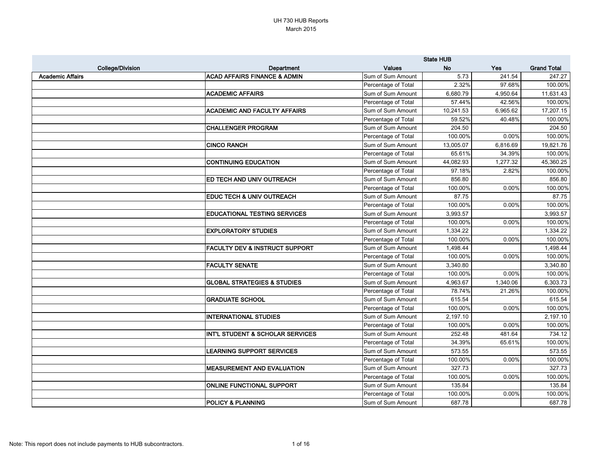|                         |                                           |                     | <b>State HUB</b> |            |                    |
|-------------------------|-------------------------------------------|---------------------|------------------|------------|--------------------|
| <b>College/Division</b> | <b>Department</b>                         | <b>Values</b>       | <b>No</b>        | <b>Yes</b> | <b>Grand Total</b> |
| <b>Academic Affairs</b> | <b>ACAD AFFAIRS FINANCE &amp; ADMIN</b>   | Sum of Sum Amount   | 5.73             | 241.54     | 247.27             |
|                         |                                           | Percentage of Total | 2.32%            | 97.68%     | 100.00%            |
|                         | <b>ACADEMIC AFFAIRS</b>                   | Sum of Sum Amount   | 6,680.79         | 4,950.64   | 11,631.43          |
|                         |                                           | Percentage of Total | 57.44%           | 42.56%     | 100.00%            |
|                         | <b>ACADEMIC AND FACULTY AFFAIRS</b>       | Sum of Sum Amount   | 10,241.53        | 6,965.62   | 17,207.15          |
|                         |                                           | Percentage of Total | 59.52%           | 40.48%     | 100.00%            |
|                         | <b>CHALLENGER PROGRAM</b>                 | Sum of Sum Amount   | 204.50           |            | 204.50             |
|                         |                                           | Percentage of Total | 100.00%          | 0.00%      | 100.00%            |
|                         | <b>CINCO RANCH</b>                        | Sum of Sum Amount   | 13,005.07        | 6,816.69   | 19,821.76          |
|                         |                                           | Percentage of Total | 65.61%           | 34.39%     | 100.00%            |
|                         | <b>CONTINUING EDUCATION</b>               | Sum of Sum Amount   | 44,082.93        | 1,277.32   | 45,360.25          |
|                         |                                           | Percentage of Total | 97.18%           | 2.82%      | 100.00%            |
|                         | ED TECH AND UNIV OUTREACH                 | Sum of Sum Amount   | 856.80           |            | 856.80             |
|                         |                                           | Percentage of Total | 100.00%          | 0.00%      | 100.00%            |
|                         | EDUC TECH & UNIV OUTREACH                 | Sum of Sum Amount   | 87.75            |            | 87.75              |
|                         |                                           | Percentage of Total | 100.00%          | 0.00%      | 100.00%            |
|                         | <b>EDUCATIONAL TESTING SERVICES</b>       | Sum of Sum Amount   | 3,993.57         |            | 3,993.57           |
|                         |                                           | Percentage of Total | 100.00%          | 0.00%      | 100.00%            |
|                         | <b>EXPLORATORY STUDIES</b>                | Sum of Sum Amount   | 1,334.22         |            | 1,334.22           |
|                         |                                           | Percentage of Total | 100.00%          | 0.00%      | 100.00%            |
|                         | <b>FACULTY DEV &amp; INSTRUCT SUPPORT</b> | Sum of Sum Amount   | 1,498.44         |            | 1,498.44           |
|                         |                                           | Percentage of Total | 100.00%          | 0.00%      | 100.00%            |
|                         | <b>FACULTY SENATE</b>                     | Sum of Sum Amount   | 3,340.80         |            | 3,340.80           |
|                         |                                           | Percentage of Total | 100.00%          | 0.00%      | 100.00%            |
|                         | <b>GLOBAL STRATEGIES &amp; STUDIES</b>    | Sum of Sum Amount   | 4,963.67         | 1,340.06   | 6,303.73           |
|                         |                                           | Percentage of Total | 78.74%           | 21.26%     | 100.00%            |
|                         | <b>GRADUATE SCHOOL</b>                    | Sum of Sum Amount   | 615.54           |            | 615.54             |
|                         |                                           | Percentage of Total | 100.00%          | 0.00%      | 100.00%            |
|                         | <b>INTERNATIONAL STUDIES</b>              | Sum of Sum Amount   | 2,197.10         |            | 2,197.10           |
|                         |                                           | Percentage of Total | 100.00%          | 0.00%      | 100.00%            |
|                         | INT'L STUDENT & SCHOLAR SERVICES          | Sum of Sum Amount   | 252.48           | 481.64     | 734.12             |
|                         |                                           | Percentage of Total | 34.39%           | 65.61%     | 100.00%            |
|                         | <b>LEARNING SUPPORT SERVICES</b>          | Sum of Sum Amount   | 573.55           |            | 573.55             |
|                         |                                           | Percentage of Total | 100.00%          | 0.00%      | 100.00%            |
|                         | <b>MEASUREMENT AND EVALUATION</b>         | Sum of Sum Amount   | 327.73           |            | 327.73             |
|                         |                                           | Percentage of Total | 100.00%          | $0.00\%$   | 100.00%            |
|                         | <b>ONLINE FUNCTIONAL SUPPORT</b>          | Sum of Sum Amount   | 135.84           |            | 135.84             |
|                         |                                           | Percentage of Total | 100.00%          | $0.00\%$   | 100.00%            |
|                         | <b>POLICY &amp; PLANNING</b>              | Sum of Sum Amount   | 687.78           |            | 687.78             |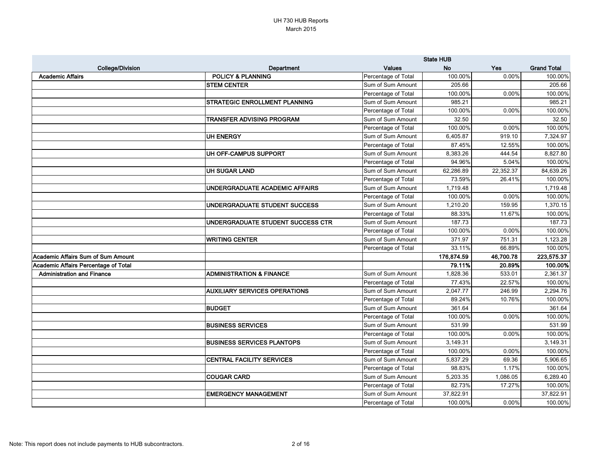|                                           |                                      |                     | <b>State HUB</b> |           |                    |
|-------------------------------------------|--------------------------------------|---------------------|------------------|-----------|--------------------|
| <b>College/Division</b>                   | Department                           | <b>Values</b>       | <b>No</b>        | Yes       | <b>Grand Total</b> |
| <b>Academic Affairs</b>                   | <b>POLICY &amp; PLANNING</b>         | Percentage of Total | 100.00%          | 0.00%     | 100.00%            |
|                                           | <b>STEM CENTER</b>                   | Sum of Sum Amount   | 205.66           |           | 205.66             |
|                                           |                                      | Percentage of Total | 100.00%          | 0.00%     | 100.00%            |
|                                           | STRATEGIC ENROLLMENT PLANNING        | Sum of Sum Amount   | 985.21           |           | 985.21             |
|                                           |                                      | Percentage of Total | 100.00%          | 0.00%     | 100.00%            |
|                                           | <b>TRANSFER ADVISING PROGRAM</b>     | Sum of Sum Amount   | 32.50            |           | 32.50              |
|                                           |                                      | Percentage of Total | 100.00%          | 0.00%     | 100.00%            |
|                                           | <b>UH ENERGY</b>                     | Sum of Sum Amount   | 6,405.87         | 919.10    | 7,324.97           |
|                                           |                                      | Percentage of Total | 87.45%           | 12.55%    | 100.00%            |
|                                           | UH OFF-CAMPUS SUPPORT                | Sum of Sum Amount   | 8,383.26         | 444.54    | 8,827.80           |
|                                           |                                      | Percentage of Total | 94.96%           | 5.04%     | 100.00%            |
|                                           | <b>UH SUGAR LAND</b>                 | Sum of Sum Amount   | 62,286.89        | 22,352.37 | 84,639.26          |
|                                           |                                      | Percentage of Total | 73.59%           | 26.41%    | 100.00%            |
|                                           | UNDERGRADUATE ACADEMIC AFFAIRS       | Sum of Sum Amount   | 1,719.48         |           | 1,719.48           |
|                                           |                                      | Percentage of Total | 100.00%          | 0.00%     | 100.00%            |
|                                           | UNDERGRADUATE STUDENT SUCCESS        | Sum of Sum Amount   | 1,210.20         | 159.95    | 1,370.15           |
|                                           |                                      | Percentage of Total | 88.33%           | 11.67%    | 100.00%            |
|                                           | UNDERGRADUATE STUDENT SUCCESS CTR    | Sum of Sum Amount   | 187.73           |           | 187.73             |
|                                           |                                      | Percentage of Total | 100.00%          | 0.00%     | 100.00%            |
|                                           | <b>WRITING CENTER</b>                | Sum of Sum Amount   | 371.97           | 751.31    | 1,123.28           |
|                                           |                                      | Percentage of Total | 33.11%           | 66.89%    | 100.00%            |
| <b>Academic Affairs Sum of Sum Amount</b> |                                      |                     | 176,874.59       | 46,700.78 | 223,575.37         |
| Academic Affairs Percentage of Total      |                                      |                     | 79.11%           | 20.89%    | 100.00%            |
| <b>Administration and Finance</b>         | <b>ADMINISTRATION &amp; FINANCE</b>  | Sum of Sum Amount   | 1,828.36         | 533.01    | 2,361.37           |
|                                           |                                      | Percentage of Total | 77.43%           | 22.57%    | 100.00%            |
|                                           | <b>AUXILIARY SERVICES OPERATIONS</b> | Sum of Sum Amount   | 2,047.77         | 246.99    | 2,294.76           |
|                                           |                                      | Percentage of Total | 89.24%           | 10.76%    | 100.00%            |
|                                           | <b>BUDGET</b>                        | Sum of Sum Amount   | 361.64           |           | 361.64             |
|                                           |                                      | Percentage of Total | 100.00%          | 0.00%     | 100.00%            |
|                                           | <b>BUSINESS SERVICES</b>             | Sum of Sum Amount   | 531.99           |           | 531.99             |
|                                           |                                      | Percentage of Total | 100.00%          | $0.00\%$  | 100.00%            |
|                                           | <b>BUSINESS SERVICES PLANTOPS</b>    | Sum of Sum Amount   | 3,149.31         |           | 3,149.31           |
|                                           |                                      | Percentage of Total | 100.00%          | 0.00%     | 100.00%            |
|                                           | <b>CENTRAL FACILITY SERVICES</b>     | Sum of Sum Amount   | 5,837.29         | 69.36     | 5,906.65           |
|                                           |                                      | Percentage of Total | 98.83%           | 1.17%     | 100.00%            |
|                                           | <b>COUGAR CARD</b>                   | Sum of Sum Amount   | 5,203.35         | 1,086.05  | 6,289.40           |
|                                           |                                      | Percentage of Total | 82.73%           | 17.27%    | 100.00%            |
|                                           | <b>EMERGENCY MANAGEMENT</b>          | Sum of Sum Amount   | 37,822.91        |           | 37,822.91          |
|                                           |                                      | Percentage of Total | 100.00%          | 0.00%     | 100.00%            |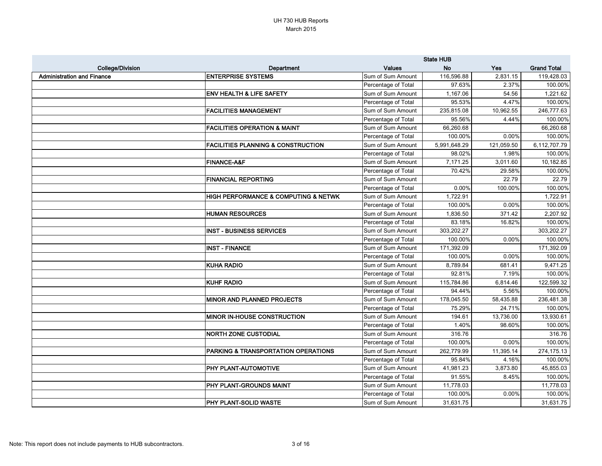|                                   |                                                     | <b>State HUB</b>    |              |            |                    |
|-----------------------------------|-----------------------------------------------------|---------------------|--------------|------------|--------------------|
| <b>College/Division</b>           | <b>Department</b>                                   | <b>Values</b>       | <b>No</b>    | <b>Yes</b> | <b>Grand Total</b> |
| <b>Administration and Finance</b> | <b>ENTERPRISE SYSTEMS</b>                           | Sum of Sum Amount   | 116,596.88   | 2,831.15   | 119,428.03         |
|                                   |                                                     | Percentage of Total | 97.63%       | 2.37%      | 100.00%            |
|                                   | <b>ENV HEALTH &amp; LIFE SAFETY</b>                 | Sum of Sum Amount   | 1,167.06     | 54.56      | 1,221.62           |
|                                   |                                                     | Percentage of Total | 95.53%       | 4.47%      | 100.00%            |
|                                   | <b>FACILITIES MANAGEMENT</b>                        | Sum of Sum Amount   | 235,815.08   | 10,962.55  | 246,777.63         |
|                                   |                                                     | Percentage of Total | 95.56%       | 4.44%      | 100.00%            |
|                                   | <b>FACILITIES OPERATION &amp; MAINT</b>             | Sum of Sum Amount   | 66,260.68    |            | 66,260.68          |
|                                   |                                                     | Percentage of Total | 100.00%      | 0.00%      | 100.00%            |
|                                   | <b>FACILITIES PLANNING &amp; CONSTRUCTION</b>       | Sum of Sum Amount   | 5,991,648.29 | 121,059.50 | 6,112,707.79       |
|                                   |                                                     | Percentage of Total | 98.02%       | 1.98%      | 100.00%            |
|                                   | <b>FINANCE-A&amp;F</b>                              | Sum of Sum Amount   | 7,171.25     | 3,011.60   | 10,182.85          |
|                                   |                                                     | Percentage of Total | 70.42%       | 29.58%     | 100.00%            |
|                                   | <b>FINANCIAL REPORTING</b>                          | Sum of Sum Amount   |              | 22.79      | 22.79              |
|                                   |                                                     | Percentage of Total | 0.00%        | 100.00%    | 100.00%            |
|                                   | <b>HIGH PERFORMANCE &amp; COMPUTING &amp; NETWK</b> | Sum of Sum Amount   | 1,722.91     |            | 1,722.91           |
|                                   |                                                     | Percentage of Total | 100.00%      | 0.00%      | 100.00%            |
|                                   | <b>HUMAN RESOURCES</b>                              | Sum of Sum Amount   | 1,836.50     | 371.42     | 2,207.92           |
|                                   |                                                     | Percentage of Total | 83.18%       | 16.82%     | 100.00%            |
|                                   | <b>INST - BUSINESS SERVICES</b>                     | Sum of Sum Amount   | 303,202.27   |            | 303,202.27         |
|                                   |                                                     | Percentage of Total | 100.00%      | 0.00%      | 100.00%            |
|                                   | <b>INST - FINANCE</b>                               | Sum of Sum Amount   | 171,392.09   |            | 171,392.09         |
|                                   |                                                     | Percentage of Total | 100.00%      | $0.00\%$   | 100.00%            |
|                                   | <b>KUHA RADIO</b>                                   | Sum of Sum Amount   | 8,789.84     | 681.41     | 9,471.25           |
|                                   |                                                     | Percentage of Total | 92.81%       | 7.19%      | 100.00%            |
|                                   | <b>KUHF RADIO</b>                                   | Sum of Sum Amount   | 115,784.86   | 6,814.46   | 122,599.32         |
|                                   |                                                     | Percentage of Total | 94.44%       | 5.56%      | 100.00%            |
|                                   | <b>MINOR AND PLANNED PROJECTS</b>                   | Sum of Sum Amount   | 178,045.50   | 58,435.88  | 236,481.38         |
|                                   |                                                     | Percentage of Total | 75.29%       | 24.71%     | 100.00%            |
|                                   | <b>IMINOR IN-HOUSE CONSTRUCTION</b>                 | Sum of Sum Amount   | 194.61       | 13,736.00  | 13,930.61          |
|                                   |                                                     | Percentage of Total | 1.40%        | 98.60%     | 100.00%            |
|                                   | <b>NORTH ZONE CUSTODIAL</b>                         | Sum of Sum Amount   | 316.76       |            | 316.76             |
|                                   |                                                     | Percentage of Total | 100.00%      | 0.00%      | 100.00%            |
|                                   | PARKING & TRANSPORTATION OPERATIONS                 | Sum of Sum Amount   | 262,779.99   | 11,395.14  | 274,175.13         |
|                                   |                                                     | Percentage of Total | 95.84%       | 4.16%      | 100.00%            |
|                                   | <b>PHY PLANT-AUTOMOTIVE</b>                         | Sum of Sum Amount   | 41,981.23    | 3,873.80   | 45,855.03          |
|                                   |                                                     | Percentage of Total | 91.55%       | 8.45%      | 100.00%            |
|                                   | <b>PHY PLANT-GROUNDS MAINT</b>                      | Sum of Sum Amount   | 11,778.03    |            | 11,778.03          |
|                                   |                                                     | Percentage of Total | 100.00%      | 0.00%      | 100.00%            |
|                                   | <b>PHY PLANT-SOLID WASTE</b>                        | Sum of Sum Amount   | 31,631.75    |            | 31,631.75          |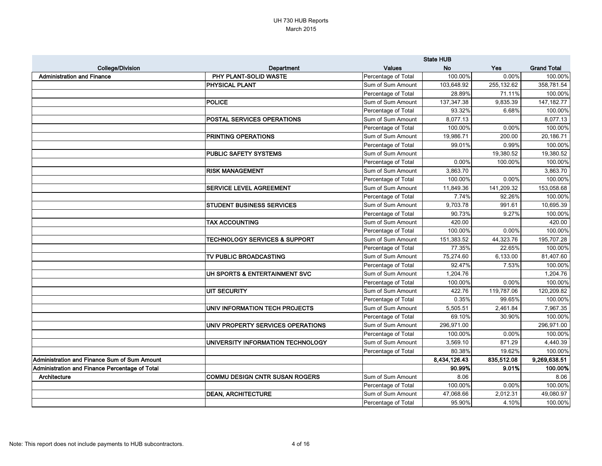|                                                |                                          |                     | <b>State HUB</b> |            |                    |
|------------------------------------------------|------------------------------------------|---------------------|------------------|------------|--------------------|
| <b>College/Division</b>                        | <b>Department</b>                        | <b>Values</b>       | <b>No</b>        | Yes        | <b>Grand Total</b> |
| <b>Administration and Finance</b>              | PHY PLANT-SOLID WASTE                    | Percentage of Total | 100.00%          | 0.00%      | 100.00%            |
|                                                | PHYSICAL PLANT                           | Sum of Sum Amount   | 103,648.92       | 255,132.62 | 358,781.54         |
|                                                |                                          | Percentage of Total | 28.89%           | 71.11%     | 100.00%            |
|                                                | <b>POLICE</b>                            | Sum of Sum Amount   | 137,347.38       | 9,835.39   | 147, 182. 77       |
|                                                |                                          | Percentage of Total | 93.32%           | 6.68%      | 100.00%            |
|                                                | POSTAL SERVICES OPERATIONS               | Sum of Sum Amount   | 8,077.13         |            | 8,077.13           |
|                                                |                                          | Percentage of Total | 100.00%          | 0.00%      | 100.00%            |
|                                                | PRINTING OPERATIONS                      | Sum of Sum Amount   | 19,986.71        | 200.00     | 20,186.71          |
|                                                |                                          | Percentage of Total | 99.01%           | 0.99%      | 100.00%            |
|                                                | <b>PUBLIC SAFETY SYSTEMS</b>             | Sum of Sum Amount   |                  | 19,380.52  | 19,380.52          |
|                                                |                                          | Percentage of Total | 0.00%            | 100.00%    | 100.00%            |
|                                                | <b>RISK MANAGEMENT</b>                   | Sum of Sum Amount   | 3,863.70         |            | 3,863.70           |
|                                                |                                          | Percentage of Total | 100.00%          | 0.00%      | 100.00%            |
|                                                | <b>SERVICE LEVEL AGREEMENT</b>           | Sum of Sum Amount   | 11,849.36        | 141,209.32 | 153,058.68         |
|                                                |                                          | Percentage of Total | 7.74%            | 92.26%     | 100.00%            |
|                                                | <b>STUDENT BUSINESS SERVICES</b>         | Sum of Sum Amount   | 9,703.78         | 991.61     | 10,695.39          |
|                                                |                                          | Percentage of Total | 90.73%           | 9.27%      | 100.00%            |
|                                                | <b>TAX ACCOUNTING</b>                    | Sum of Sum Amount   | 420.00           |            | 420.00             |
|                                                |                                          | Percentage of Total | 100.00%          | 0.00%      | 100.00%            |
|                                                | <b>TECHNOLOGY SERVICES &amp; SUPPORT</b> | Sum of Sum Amount   | 151,383.52       | 44,323.76  | 195,707.28         |
|                                                |                                          | Percentage of Total | 77.35%           | 22.65%     | 100.00%            |
|                                                | TV PUBLIC BROADCASTING                   | Sum of Sum Amount   | 75,274.60        | 6,133.00   | 81,407.60          |
|                                                |                                          | Percentage of Total | 92.47%           | 7.53%      | 100.00%            |
|                                                | UH SPORTS & ENTERTAINMENT SVC            | Sum of Sum Amount   | 1,204.76         |            | 1,204.76           |
|                                                |                                          | Percentage of Total | 100.00%          | 0.00%      | 100.00%            |
|                                                | <b>UIT SECURITY</b>                      | Sum of Sum Amount   | 422.76           | 119,787.06 | 120,209.82         |
|                                                |                                          | Percentage of Total | 0.35%            | 99.65%     | 100.00%            |
|                                                | UNIV INFORMATION TECH PROJECTS           | Sum of Sum Amount   | 5,505.51         | 2,461.84   | 7,967.35           |
|                                                |                                          | Percentage of Total | 69.10%           | 30.90%     | 100.00%            |
|                                                | UNIV PROPERTY SERVICES OPERATIONS        | Sum of Sum Amount   | 296,971.00       |            | 296,971.00         |
|                                                |                                          | Percentage of Total | 100.00%          | 0.00%      | 100.00%            |
|                                                | UNIVERSITY INFORMATION TECHNOLOGY        | Sum of Sum Amount   | 3,569.10         | 871.29     | 4,440.39           |
|                                                |                                          | Percentage of Total | 80.38%           | 19.62%     | 100.00%            |
| Administration and Finance Sum of Sum Amount   |                                          |                     | 8,434,126.43     | 835,512.08 | 9,269,638.51       |
| Administration and Finance Percentage of Total |                                          |                     | 90.99%           | 9.01%      | 100.00%            |
| Architecture                                   | <b>COMMU DESIGN CNTR SUSAN ROGERS</b>    | Sum of Sum Amount   | 8.06             |            | 8.06               |
|                                                |                                          | Percentage of Total | 100.00%          | 0.00%      | 100.00%            |
|                                                | <b>DEAN, ARCHITECTURE</b>                | Sum of Sum Amount   | 47,068.66        | 2,012.31   | 49,080.97          |
|                                                |                                          | Percentage of Total | 95.90%           | 4.10%      | 100.00%            |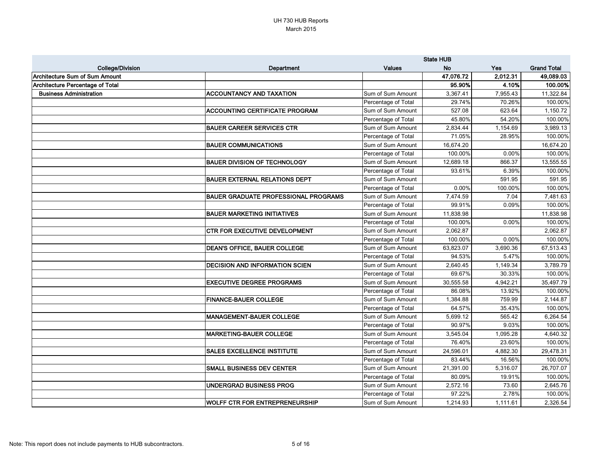| <b>College/Division</b>                 | Department                                  | <b>Values</b>       | <b>No</b> | <b>Yes</b> | <b>Grand Total</b> |
|-----------------------------------------|---------------------------------------------|---------------------|-----------|------------|--------------------|
| <b>Architecture Sum of Sum Amount</b>   |                                             |                     | 47,076.72 | 2,012.31   | 49,089.03          |
| <b>Architecture Percentage of Total</b> |                                             |                     | 95.90%    | 4.10%      | 100.00%            |
| <b>Business Administration</b>          | <b>ACCOUNTANCY AND TAXATION</b>             | Sum of Sum Amount   | 3,367.41  | 7,955.43   | 11,322.84          |
|                                         |                                             | Percentage of Total | 29.74%    | 70.26%     | 100.00%            |
|                                         | <b>ACCOUNTING CERTIFICATE PROGRAM</b>       | Sum of Sum Amount   | 527.08    | 623.64     | 1,150.72           |
|                                         |                                             | Percentage of Total | 45.80%    | 54.20%     | 100.00%            |
|                                         | <b>BAUER CAREER SERVICES CTR</b>            | Sum of Sum Amount   | 2,834.44  | 1,154.69   | 3,989.13           |
|                                         |                                             | Percentage of Total | 71.05%    | 28.95%     | 100.00%            |
|                                         | <b>BAUER COMMUNICATIONS</b>                 | Sum of Sum Amount   | 16,674.20 |            | 16,674.20          |
|                                         |                                             | Percentage of Total | 100.00%   | 0.00%      | 100.00%            |
|                                         | <b>BAUER DIVISION OF TECHNOLOGY</b>         | Sum of Sum Amount   | 12,689.18 | 866.37     | 13,555.55          |
|                                         |                                             | Percentage of Total | 93.61%    | 6.39%      | 100.00%            |
|                                         | <b>BAUER EXTERNAL RELATIONS DEPT</b>        | Sum of Sum Amount   |           | 591.95     | 591.95             |
|                                         |                                             | Percentage of Total | 0.00%     | 100.00%    | 100.00%            |
|                                         | <b>BAUER GRADUATE PROFESSIONAL PROGRAMS</b> | Sum of Sum Amount   | 7,474.59  | 7.04       | 7,481.63           |
|                                         |                                             | Percentage of Total | 99.91%    | 0.09%      | 100.00%            |
|                                         | <b>BAUER MARKETING INITIATIVES</b>          | Sum of Sum Amount   | 11,838.98 |            | 11,838.98          |
|                                         |                                             | Percentage of Total | 100.00%   | 0.00%      | 100.00%            |
|                                         | <b>CTR FOR EXECUTIVE DEVELOPMENT</b>        | Sum of Sum Amount   | 2,062.87  |            | 2,062.87           |
|                                         |                                             | Percentage of Total | 100.00%   | 0.00%      | 100.00%            |
|                                         | <b>DEAN'S OFFICE, BAUER COLLEGE</b>         | Sum of Sum Amount   | 63,823.07 | 3,690.36   | 67,513.43          |
|                                         |                                             | Percentage of Total | 94.53%    | 5.47%      | 100.00%            |
|                                         | <b>DECISION AND INFORMATION SCIEN</b>       | Sum of Sum Amount   | 2,640.45  | 1,149.34   | 3,789.79           |
|                                         |                                             | Percentage of Total | 69.67%    | 30.33%     | 100.00%            |
|                                         | <b>EXECUTIVE DEGREE PROGRAMS</b>            | Sum of Sum Amount   | 30,555.58 | 4,942.21   | 35,497.79          |
|                                         |                                             | Percentage of Total | 86.08%    | 13.92%     | 100.00%            |
|                                         | <b>FINANCE-BAUER COLLEGE</b>                | Sum of Sum Amount   | 1,384.88  | 759.99     | 2,144.87           |
|                                         |                                             | Percentage of Total | 64.57%    | 35.43%     | 100.00%            |
|                                         | <b>IMANAGEMENT-BAUER COLLEGE</b>            | Sum of Sum Amount   | 5,699.12  | 565.42     | 6,264.54           |
|                                         |                                             | Percentage of Total | 90.97%    | 9.03%      | 100.00%            |
|                                         | <b>MARKETING-BAUER COLLEGE</b>              | Sum of Sum Amount   | 3,545.04  | 1,095.28   | 4,640.32           |
|                                         |                                             | Percentage of Total | 76.40%    | 23.60%     | 100.00%            |
|                                         | <b>SALES EXCELLENCE INSTITUTE</b>           | Sum of Sum Amount   | 24,596.01 | 4,882.30   | 29,478.31          |
|                                         |                                             | Percentage of Total | 83.44%    | 16.56%     | 100.00%            |
|                                         | <b>SMALL BUSINESS DEV CENTER</b>            | Sum of Sum Amount   | 21,391.00 | 5,316.07   | 26,707.07          |
|                                         |                                             | Percentage of Total | 80.09%    | 19.91%     | 100.00%            |
|                                         | UNDERGRAD BUSINESS PROG                     | Sum of Sum Amount   | 2,572.16  | 73.60      | 2,645.76           |
|                                         |                                             | Percentage of Total | 97.22%    | 2.78%      | 100.00%            |
|                                         | <b>WOLFF CTR FOR ENTREPRENEURSHIP</b>       | Sum of Sum Amount   | 1,214.93  | 1,111.61   | 2,326.54           |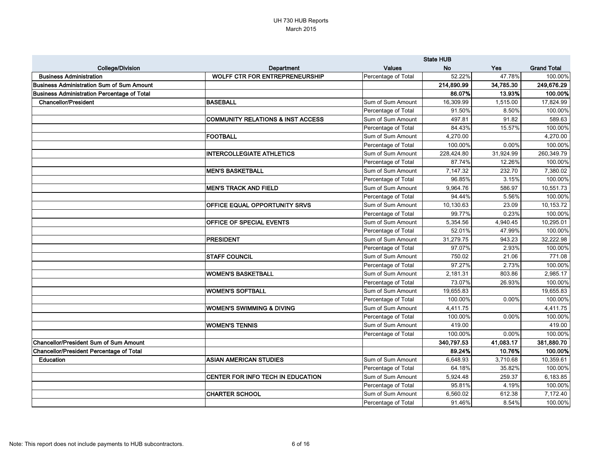|                                                    |                                              |                     | <b>State HUB</b> |            |                    |
|----------------------------------------------------|----------------------------------------------|---------------------|------------------|------------|--------------------|
| <b>College/Division</b>                            | Department                                   | <b>Values</b>       | <b>No</b>        | <b>Yes</b> | <b>Grand Total</b> |
| <b>Business Administration</b>                     | <b>WOLFF CTR FOR ENTREPRENEURSHIP</b>        | Percentage of Total | 52.22%           | 47.78%     | 100.00%            |
| <b>Business Administration Sum of Sum Amount</b>   |                                              |                     | 214,890.99       | 34,785.30  | 249,676.29         |
| <b>Business Administration Percentage of Total</b> |                                              |                     | 86.07%           | 13.93%     | 100.00%            |
| <b>Chancellor/President</b>                        | <b>BASEBALL</b>                              | Sum of Sum Amount   | 16,309.99        | 1,515.00   | 17,824.99          |
|                                                    |                                              | Percentage of Total | 91.50%           | 8.50%      | 100.00%            |
|                                                    | <b>COMMUNITY RELATIONS &amp; INST ACCESS</b> | Sum of Sum Amount   | 497.81           | 91.82      | 589.63             |
|                                                    |                                              | Percentage of Total | 84.43%           | 15.57%     | 100.00%            |
|                                                    | <b>FOOTBALL</b>                              | Sum of Sum Amount   | 4,270.00         |            | 4,270.00           |
|                                                    |                                              | Percentage of Total | 100.00%          | 0.00%      | 100.00%            |
|                                                    | <b>INTERCOLLEGIATE ATHLETICS</b>             | Sum of Sum Amount   | 228,424.80       | 31,924.99  | 260,349.79         |
|                                                    |                                              | Percentage of Total | 87.74%           | 12.26%     | 100.00%            |
|                                                    | <b>MEN'S BASKETBALL</b>                      | Sum of Sum Amount   | 7,147.32         | 232.70     | 7,380.02           |
|                                                    |                                              | Percentage of Total | 96.85%           | 3.15%      | 100.00%            |
|                                                    | <b>MEN'S TRACK AND FIELD</b>                 | Sum of Sum Amount   | 9,964.76         | 586.97     | 10,551.73          |
|                                                    |                                              | Percentage of Total | 94.44%           | 5.56%      | 100.00%            |
|                                                    | OFFICE EQUAL OPPORTUNITY SRVS                | Sum of Sum Amount   | 10,130.63        | 23.09      | 10,153.72          |
|                                                    |                                              | Percentage of Total | 99.77%           | 0.23%      | 100.00%            |
|                                                    | OFFICE OF SPECIAL EVENTS                     | Sum of Sum Amount   | 5,354.56         | 4,940.45   | 10,295.01          |
|                                                    |                                              | Percentage of Total | 52.01%           | 47.99%     | 100.00%            |
|                                                    | <b>PRESIDENT</b>                             | Sum of Sum Amount   | 31,279.75        | 943.23     | 32,222.98          |
|                                                    |                                              | Percentage of Total | 97.07%           | 2.93%      | 100.00%            |
|                                                    | <b>STAFF COUNCIL</b>                         | Sum of Sum Amount   | 750.02           | 21.06      | 771.08             |
|                                                    |                                              | Percentage of Total | 97.27%           | 2.73%      | 100.00%            |
|                                                    | <b>WOMEN'S BASKETBALL</b>                    | Sum of Sum Amount   | 2,181.31         | 803.86     | 2,985.17           |
|                                                    |                                              | Percentage of Total | 73.07%           | 26.93%     | 100.00%            |
|                                                    | <b>WOMEN'S SOFTBALL</b>                      | Sum of Sum Amount   | 19,655.83        |            | 19,655.83          |
|                                                    |                                              | Percentage of Total | 100.00%          | 0.00%      | 100.00%            |
|                                                    | <b>WOMEN'S SWIMMING &amp; DIVING</b>         | Sum of Sum Amount   | 4,411.75         |            | 4,411.75           |
|                                                    |                                              | Percentage of Total | 100.00%          | 0.00%      | 100.00%            |
|                                                    | <b>WOMEN'S TENNIS</b>                        | Sum of Sum Amount   | 419.00           |            | 419.00             |
|                                                    |                                              | Percentage of Total | 100.00%          | 0.00%      | 100.00%            |
| <b>Chancellor/President Sum of Sum Amount</b>      |                                              |                     | 340,797.53       | 41,083.17  | 381,880.70         |
| <b>Chancellor/President Percentage of Total</b>    |                                              |                     | 89.24%           | 10.76%     | 100.00%            |
| Education                                          | <b>ASIAN AMERICAN STUDIES</b>                | Sum of Sum Amount   | 6,648.93         | 3,710.68   | 10,359.61          |
|                                                    |                                              | Percentage of Total | 64.18%           | 35.82%     | 100.00%            |
|                                                    | CENTER FOR INFO TECH IN EDUCATION            | Sum of Sum Amount   | 5,924.48         | 259.37     | 6,183.85           |
|                                                    |                                              | Percentage of Total | 95.81%           | 4.19%      | 100.00%            |
|                                                    | <b>CHARTER SCHOOL</b>                        | Sum of Sum Amount   | 6,560.02         | 612.38     | 7,172.40           |
|                                                    |                                              | Percentage of Total | 91.46%           | 8.54%      | 100.00%            |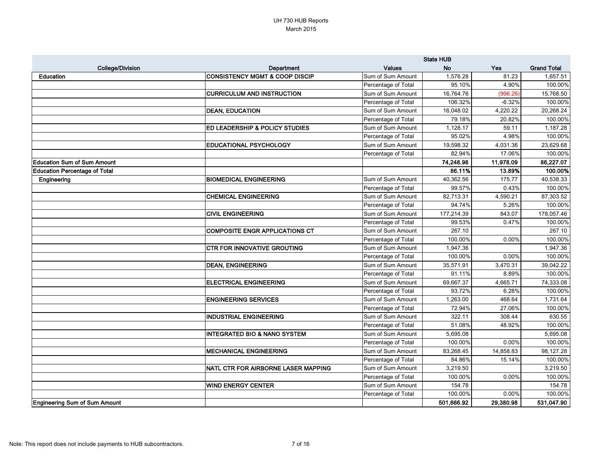|                                      |                                           |                     | <b>State HUB</b> |            |                    |
|--------------------------------------|-------------------------------------------|---------------------|------------------|------------|--------------------|
| <b>College/Division</b>              | Department                                | <b>Values</b>       | <b>No</b>        | <b>Yes</b> | <b>Grand Total</b> |
| Education                            | <b>CONSISTENCY MGMT &amp; COOP DISCIP</b> | Sum of Sum Amount   | 1,576.28         | 81.23      | 1,657.51           |
|                                      |                                           | Percentage of Total | 95.10%           | 4.90%      | 100.00%            |
|                                      | <b>CURRICULUM AND INSTRUCTION</b>         | Sum of Sum Amount   | 16,764.76        | (996.26)   | 15,768.50          |
|                                      |                                           | Percentage of Total | 106.32%          | $-6.32%$   | 100.00%            |
|                                      | <b>DEAN, EDUCATION</b>                    | Sum of Sum Amount   | 16,048.02        | 4,220.22   | 20,268.24          |
|                                      |                                           | Percentage of Total | 79.18%           | 20.82%     | 100.00%            |
|                                      | ED LEADERSHIP & POLICY STUDIES            | Sum of Sum Amount   | 1,128.17         | 59.11      | 1,187.28           |
|                                      |                                           | Percentage of Total | 95.02%           | 4.98%      | 100.00%            |
|                                      | <b>EDUCATIONAL PSYCHOLOGY</b>             | Sum of Sum Amount   | 19,598.32        | 4,031.36   | 23,629.68          |
|                                      |                                           | Percentage of Total | 82.94%           | 17.06%     | 100.00%            |
| <b>Education Sum of Sum Amount</b>   |                                           |                     | 74,248.98        | 11,978.09  | 86,227.07          |
| <b>Education Percentage of Total</b> |                                           |                     | 86.11%           | 13.89%     | 100.00%            |
| Engineering                          | <b>BIOMEDICAL ENGINEERING</b>             | Sum of Sum Amount   | 40,362.56        | 175.77     | 40,538.33          |
|                                      |                                           | Percentage of Total | 99.57%           | 0.43%      | 100.00%            |
|                                      | <b>CHEMICAL ENGINEERING</b>               | Sum of Sum Amount   | 82,713.31        | 4,590.21   | 87,303.52          |
|                                      |                                           | Percentage of Total | 94.74%           | 5.26%      | 100.00%            |
|                                      | <b>CIVIL ENGINEERING</b>                  | Sum of Sum Amount   | 177,214.39       | 843.07     | 178,057.46         |
|                                      |                                           | Percentage of Total | 99.53%           | 0.47%      | 100.00%            |
|                                      | <b>COMPOSITE ENGR APPLICATIONS CT</b>     | Sum of Sum Amount   | 267.10           |            | 267.10             |
|                                      |                                           | Percentage of Total | 100.00%          | 0.00%      | 100.00%            |
|                                      | <b>CTR FOR INNOVATIVE GROUTING</b>        | Sum of Sum Amount   | 1,947.36         |            | 1,947.36           |
|                                      |                                           | Percentage of Total | 100.00%          | 0.00%      | 100.00%            |
|                                      | <b>DEAN, ENGINEERING</b>                  | Sum of Sum Amount   | 35,571.91        | 3,470.31   | 39,042.22          |
|                                      |                                           | Percentage of Total | 91.11%           | 8.89%      | 100.00%            |
|                                      | <b>ELECTRICAL ENGINEERING</b>             | Sum of Sum Amount   | 69,667.37        | 4,665.71   | 74,333.08          |
|                                      |                                           | Percentage of Total | 93.72%           | 6.28%      | 100.00%            |
|                                      | <b>ENGINEERING SERVICES</b>               | Sum of Sum Amount   | 1,263.00         | 468.64     | 1,731.64           |
|                                      |                                           | Percentage of Total | 72.94%           | 27.06%     | 100.00%            |
|                                      | <b>INDUSTRIAL ENGINEERING</b>             | Sum of Sum Amount   | 322.11           | 308.44     | 630.55             |
|                                      |                                           | Percentage of Total | 51.08%           | 48.92%     | 100.00%            |
|                                      | <b>INTEGRATED BIO &amp; NANO SYSTEM</b>   | Sum of Sum Amount   | 5,695.08         |            | 5,695.08           |
|                                      |                                           | Percentage of Total | 100.00%          | 0.00%      | 100.00%            |
|                                      | <b>MECHANICAL ENGINEERING</b>             | Sum of Sum Amount   | 83,268.45        | 14,858.83  | 98,127.28          |
|                                      |                                           | Percentage of Total | 84.86%           | 15.14%     | 100.00%            |
|                                      | NATL CTR FOR AIRBORNE LASER MAPPING       | Sum of Sum Amount   | 3,219.50         |            | 3,219.50           |
|                                      |                                           | Percentage of Total | 100.00%          | $0.00\%$   | 100.00%            |
|                                      | <b>WIND ENERGY CENTER</b>                 | Sum of Sum Amount   | 154.78           |            | 154.78             |
|                                      |                                           | Percentage of Total | 100.00%          | $0.00\%$   | 100.00%            |
| <b>Engineering Sum of Sum Amount</b> |                                           |                     | 501,666.92       | 29,380.98  | 531,047.90         |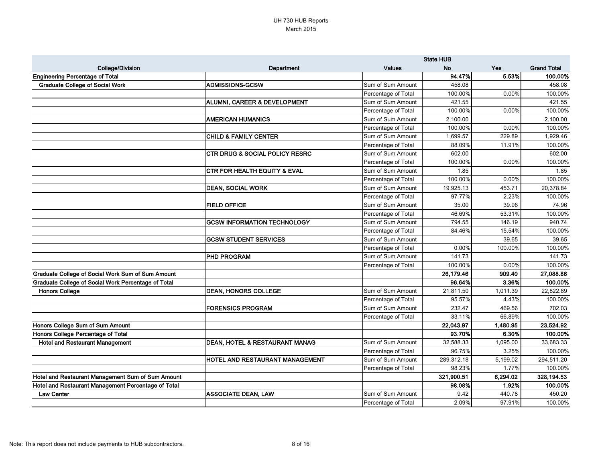|                                                     |                                           |                     | <b>State HUB</b> |            |                    |
|-----------------------------------------------------|-------------------------------------------|---------------------|------------------|------------|--------------------|
| <b>College/Division</b>                             | <b>Department</b>                         | <b>Values</b>       | <b>No</b>        | <b>Yes</b> | <b>Grand Total</b> |
| Engineering Percentage of Total                     |                                           |                     | 94.47%           | 5.53%      | 100.00%            |
| <b>Graduate College of Social Work</b>              | <b>ADMISSIONS-GCSW</b>                    | Sum of Sum Amount   | 458.08           |            | 458.08             |
|                                                     |                                           | Percentage of Total | 100.00%          | 0.00%      | 100.00%            |
|                                                     | ALUMNI, CAREER & DEVELOPMENT              | Sum of Sum Amount   | 421.55           |            | 421.55             |
|                                                     |                                           | Percentage of Total | 100.00%          | 0.00%      | 100.00%            |
|                                                     | <b>AMERICAN HUMANICS</b>                  | Sum of Sum Amount   | 2,100.00         |            | 2,100.00           |
|                                                     |                                           | Percentage of Total | 100.00%          | 0.00%      | 100.00%            |
|                                                     | <b>CHILD &amp; FAMILY CENTER</b>          | Sum of Sum Amount   | 1,699.57         | 229.89     | 1,929.46           |
|                                                     |                                           | Percentage of Total | 88.09%           | 11.91%     | 100.00%            |
|                                                     | <b>CTR DRUG &amp; SOCIAL POLICY RESRC</b> | Sum of Sum Amount   | 602.00           |            | 602.00             |
|                                                     |                                           | Percentage of Total | 100.00%          | 0.00%      | 100.00%            |
|                                                     | <b>CTR FOR HEALTH EQUITY &amp; EVAL</b>   | Sum of Sum Amount   | 1.85             |            | 1.85               |
|                                                     |                                           | Percentage of Total | 100.00%          | 0.00%      | 100.00%            |
|                                                     | <b>DEAN, SOCIAL WORK</b>                  | Sum of Sum Amount   | 19,925.13        | 453.71     | 20,378.84          |
|                                                     |                                           | Percentage of Total | 97.77%           | 2.23%      | 100.00%            |
|                                                     | <b>FIELD OFFICE</b>                       | Sum of Sum Amount   | 35.00            | 39.96      | 74.96              |
|                                                     |                                           | Percentage of Total | 46.69%           | 53.31%     | 100.00%            |
|                                                     | <b>GCSW INFORMATION TECHNOLOGY</b>        | Sum of Sum Amount   | 794.55           | 146.19     | 940.74             |
|                                                     |                                           | Percentage of Total | 84.46%           | 15.54%     | 100.00%            |
|                                                     | <b>GCSW STUDENT SERVICES</b>              | Sum of Sum Amount   |                  | 39.65      | 39.65              |
|                                                     |                                           | Percentage of Total | 0.00%            | 100.00%    | 100.00%            |
|                                                     | <b>PHD PROGRAM</b>                        | Sum of Sum Amount   | 141.73           |            | 141.73             |
|                                                     |                                           | Percentage of Total | 100.00%          | 0.00%      | 100.00%            |
| Graduate College of Social Work Sum of Sum Amount   |                                           |                     | 26,179.46        | 909.40     | 27,088.86          |
| Graduate College of Social Work Percentage of Total |                                           |                     | 96.64%           | 3.36%      | 100.00%            |
| <b>Honors College</b>                               | <b>DEAN, HONORS COLLEGE</b>               | Sum of Sum Amount   | 21,811.50        | 1,011.39   | 22,822.89          |
|                                                     |                                           | Percentage of Total | 95.57%           | 4.43%      | 100.00%            |
|                                                     | <b>FORENSICS PROGRAM</b>                  | Sum of Sum Amount   | 232.47           | 469.56     | 702.03             |
|                                                     |                                           | Percentage of Total | 33.11%           | 66.89%     | 100.00%            |
| Honors College Sum of Sum Amount                    |                                           |                     | 22,043.97        | 1,480.95   | 23,524.92          |
| Honors College Percentage of Total                  |                                           |                     | 93.70%           | 6.30%      | 100.00%            |
| <b>Hotel and Restaurant Management</b>              | DEAN, HOTEL & RESTAURANT MANAG            | Sum of Sum Amount   | 32,588.33        | 1,095.00   | 33,683.33          |
|                                                     |                                           | Percentage of Total | 96.75%           | 3.25%      | 100.00%            |
|                                                     | HOTEL AND RESTAURANT MANAGEMENT           | Sum of Sum Amount   | 289,312.18       | 5,199.02   | 294,511.20         |
|                                                     |                                           | Percentage of Total | 98.23%           | 1.77%      | 100.00%            |
| Hotel and Restaurant Management Sum of Sum Amount   |                                           |                     | 321,900.51       | 6,294.02   | 328,194.53         |
| Hotel and Restaurant Management Percentage of Total |                                           |                     | 98.08%           | 1.92%      | 100.00%            |
| <b>Law Center</b>                                   | <b>ASSOCIATE DEAN, LAW</b>                | Sum of Sum Amount   | 9.42             | 440.78     | 450.20             |
|                                                     |                                           | Percentage of Total | 2.09%            | 97.91%     | 100.00%            |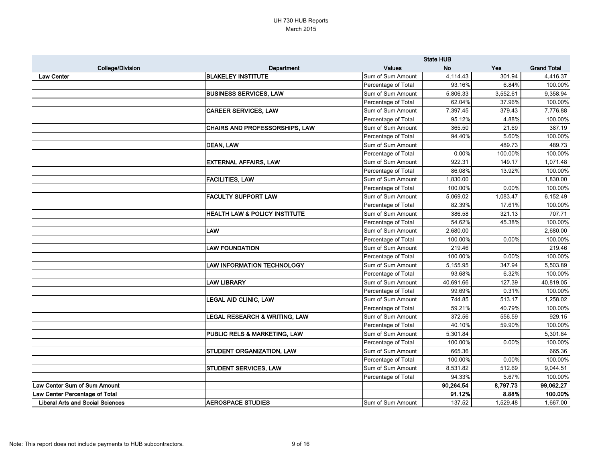|                                         |                                          |                     | <b>State HUB</b> |            |                    |  |
|-----------------------------------------|------------------------------------------|---------------------|------------------|------------|--------------------|--|
| <b>College/Division</b>                 | <b>Department</b>                        | <b>Values</b>       | <b>No</b>        | <b>Yes</b> | <b>Grand Total</b> |  |
| <b>Law Center</b>                       | <b>BLAKELEY INSTITUTE</b>                | Sum of Sum Amount   | 4,114.43         | 301.94     | 4,416.37           |  |
|                                         |                                          | Percentage of Total | 93.16%           | 6.84%      | 100.00%            |  |
|                                         | <b>BUSINESS SERVICES, LAW</b>            | Sum of Sum Amount   | 5,806.33         | 3,552.61   | 9,358.94           |  |
|                                         |                                          | Percentage of Total | 62.04%           | 37.96%     | 100.00%            |  |
|                                         | <b>CAREER SERVICES, LAW</b>              | Sum of Sum Amount   | 7,397.45         | 379.43     | 7,776.88           |  |
|                                         |                                          | Percentage of Total | 95.12%           | 4.88%      | 100.00%            |  |
|                                         | CHAIRS AND PROFESSORSHIPS, LAW           | Sum of Sum Amount   | 365.50           | 21.69      | 387.19             |  |
|                                         |                                          | Percentage of Total | 94.40%           | 5.60%      | 100.00%            |  |
|                                         | DEAN, LAW                                | Sum of Sum Amount   |                  | 489.73     | 489.73             |  |
|                                         |                                          | Percentage of Total | 0.00%            | 100.00%    | 100.00%            |  |
|                                         | <b>EXTERNAL AFFAIRS, LAW</b>             | Sum of Sum Amount   | 922.31           | 149.17     | 1,071.48           |  |
|                                         |                                          | Percentage of Total | 86.08%           | 13.92%     | 100.00%            |  |
|                                         | <b>FACILITIES, LAW</b>                   | Sum of Sum Amount   | 1,830.00         |            | 1,830.00           |  |
|                                         |                                          | Percentage of Total | 100.00%          | 0.00%      | 100.00%            |  |
|                                         | <b>FACULTY SUPPORT LAW</b>               | Sum of Sum Amount   | 5,069.02         | 1,083.47   | 6,152.49           |  |
|                                         |                                          | Percentage of Total | 82.39%           | 17.61%     | 100.00%            |  |
|                                         | <b>HEALTH LAW &amp; POLICY INSTITUTE</b> | Sum of Sum Amount   | 386.58           | 321.13     | 707.71             |  |
|                                         |                                          | Percentage of Total | 54.62%           | 45.38%     | 100.00%            |  |
|                                         | <b>LAW</b>                               | Sum of Sum Amount   | 2,680.00         |            | 2,680.00           |  |
|                                         |                                          | Percentage of Total | 100.00%          | 0.00%      | 100.00%            |  |
|                                         | <b>LAW FOUNDATION</b>                    | Sum of Sum Amount   | 219.46           |            | 219.46             |  |
|                                         |                                          | Percentage of Total | 100.00%          | 0.00%      | 100.00%            |  |
|                                         | <b>LAW INFORMATION TECHNOLOGY</b>        | Sum of Sum Amount   | 5,155.95         | 347.94     | 5,503.89           |  |
|                                         |                                          | Percentage of Total | 93.68%           | 6.32%      | 100.00%            |  |
|                                         | <b>LAW LIBRARY</b>                       | Sum of Sum Amount   | 40,691.66        | 127.39     | 40,819.05          |  |
|                                         |                                          | Percentage of Total | 99.69%           | 0.31%      | 100.00%            |  |
|                                         | <b>LEGAL AID CLINIC, LAW</b>             | Sum of Sum Amount   | 744.85           | 513.17     | 1,258.02           |  |
|                                         |                                          | Percentage of Total | 59.21%           | 40.79%     | 100.00%            |  |
|                                         | <b>LEGAL RESEARCH &amp; WRITING, LAW</b> | Sum of Sum Amount   | 372.56           | 556.59     | 929.15             |  |
|                                         |                                          | Percentage of Total | 40.10%           | 59.90%     | 100.00%            |  |
|                                         | PUBLIC RELS & MARKETING, LAW             | Sum of Sum Amount   | 5,301.84         |            | 5,301.84           |  |
|                                         |                                          | Percentage of Total | 100.00%          | $0.00\%$   | 100.00%            |  |
|                                         | STUDENT ORGANIZATION, LAW                | Sum of Sum Amount   | 665.36           |            | 665.36             |  |
|                                         |                                          | Percentage of Total | 100.00%          | $0.00\%$   | 100.00%            |  |
|                                         | <b>STUDENT SERVICES, LAW</b>             | Sum of Sum Amount   | 8,531.82         | 512.69     | 9,044.51           |  |
|                                         |                                          | Percentage of Total | 94.33%           | 5.67%      | 100.00%            |  |
| Law Center Sum of Sum Amount            |                                          |                     | 90,264.54        | 8,797.73   | 99,062.27          |  |
| Law Center Percentage of Total          |                                          |                     | 91.12%           | 8.88%      | 100.00%            |  |
| <b>Liberal Arts and Social Sciences</b> | <b>AEROSPACE STUDIES</b>                 | Sum of Sum Amount   | 137.52           | 1,529.48   | 1,667.00           |  |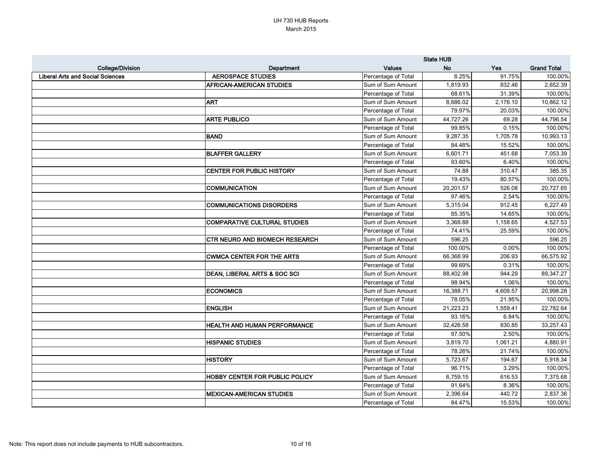|                                         |                                       |                     | <b>State HUB</b> |          |                    |
|-----------------------------------------|---------------------------------------|---------------------|------------------|----------|--------------------|
| <b>College/Division</b>                 | Department                            | <b>Values</b>       | <b>No</b>        | Yes      | <b>Grand Total</b> |
| <b>Liberal Arts and Social Sciences</b> | <b>AEROSPACE STUDIES</b>              | Percentage of Total | 8.25%            | 91.75%   | 100.00%            |
|                                         | <b>AFRICAN-AMERICAN STUDIES</b>       | Sum of Sum Amount   | 1,819.93         | 832.46   | 2,652.39           |
|                                         |                                       | Percentage of Total | 68.61%           | 31.39%   | 100.00%            |
|                                         | <b>ART</b>                            | Sum of Sum Amount   | 8,686.02         | 2,176.10 | 10,862.12          |
|                                         |                                       | Percentage of Total | 79.97%           | 20.03%   | 100.00%            |
|                                         | <b>ARTE PUBLICO</b>                   | Sum of Sum Amount   | 44,727.26        | 69.28    | 44,796.54          |
|                                         |                                       | Percentage of Total | 99.85%           | 0.15%    | 100.00%            |
|                                         | BAND                                  | Sum of Sum Amount   | 9,287.35         | 1,705.78 | 10,993.13          |
|                                         |                                       | Percentage of Total | 84.48%           | 15.52%   | 100.00%            |
|                                         | <b>BLAFFER GALLERY</b>                | Sum of Sum Amount   | 6,601.71         | 451.68   | 7,053.39           |
|                                         |                                       | Percentage of Total | 93.60%           | 6.40%    | 100.00%            |
|                                         | <b>CENTER FOR PUBLIC HISTORY</b>      | Sum of Sum Amount   | 74.88            | 310.47   | 385.35             |
|                                         |                                       | Percentage of Total | 19.43%           | 80.57%   | 100.00%            |
|                                         | <b>COMMUNICATION</b>                  | Sum of Sum Amount   | 20,201.57        | 526.08   | 20,727.65          |
|                                         |                                       | Percentage of Total | 97.46%           | 2.54%    | 100.00%            |
|                                         | <b>COMMUNICATIONS DISORDERS</b>       | Sum of Sum Amount   | 5,315.04         | 912.45   | 6,227.49           |
|                                         |                                       | Percentage of Total | 85.35%           | 14.65%   | 100.00%            |
|                                         | COMPARATIVE CULTURAL STUDIES          | Sum of Sum Amount   | 3,368.88         | 1,158.65 | 4,527.53           |
|                                         |                                       | Percentage of Total | 74.41%           | 25.59%   | 100.00%            |
|                                         | <b>CTR NEURO AND BIOMECH RESEARCH</b> | Sum of Sum Amount   | 596.25           |          | 596.25             |
|                                         |                                       | Percentage of Total | 100.00%          | 0.00%    | 100.00%            |
|                                         | <b>CWMCA CENTER FOR THE ARTS</b>      | Sum of Sum Amount   | 66,368.99        | 206.93   | 66,575.92          |
|                                         |                                       | Percentage of Total | 99.69%           | 0.31%    | 100.00%            |
|                                         | DEAN, LIBERAL ARTS & SOC SCI          | Sum of Sum Amount   | 88,402.98        | 944.29   | 89,347.27          |
|                                         |                                       | Percentage of Total | 98.94%           | 1.06%    | 100.00%            |
|                                         | <b>ECONOMICS</b>                      | Sum of Sum Amount   | 16,388.71        | 4,609.57 | 20,998.28          |
|                                         |                                       | Percentage of Total | 78.05%           | 21.95%   | 100.00%            |
|                                         | <b>ENGLISH</b>                        | Sum of Sum Amount   | 21,223.23        | 1,559.41 | 22,782.64          |
|                                         |                                       | Percentage of Total | 93.16%           | 6.84%    | 100.00%            |
|                                         | <b>HEALTH AND HUMAN PERFORMANCE</b>   | Sum of Sum Amount   | 32,426.58        | 830.85   | 33,257.43          |
|                                         |                                       | Percentage of Total | 97.50%           | 2.50%    | 100.00%            |
|                                         | <b>HISPANIC STUDIES</b>               | Sum of Sum Amount   | 3,819.70         | 1,061.21 | 4,880.91           |
|                                         |                                       | Percentage of Total | 78.26%           | 21.74%   | 100.00%            |
|                                         | <b>HISTORY</b>                        | Sum of Sum Amount   | 5,723.67         | 194.67   | 5,918.34           |
|                                         |                                       | Percentage of Total | 96.71%           | 3.29%    | 100.00%            |
|                                         | <b>HOBBY CENTER FOR PUBLIC POLICY</b> | Sum of Sum Amount   | 6,759.15         | 616.53   | 7,375.68           |
|                                         |                                       | Percentage of Total | 91.64%           | 8.36%    | 100.00%            |
|                                         | <b>MEXICAN-AMERICAN STUDIES</b>       | Sum of Sum Amount   | 2,396.64         | 440.72   | 2,837.36           |
|                                         |                                       | Percentage of Total | 84.47%           | 15.53%   | 100.00%            |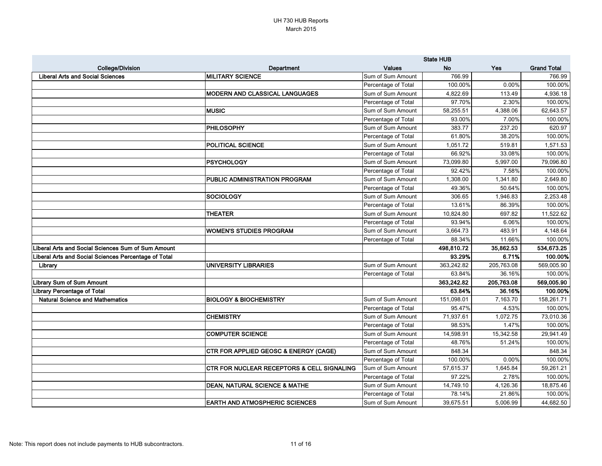|                                                      |                                                       | <b>State HUB</b>    |            |            |                    |
|------------------------------------------------------|-------------------------------------------------------|---------------------|------------|------------|--------------------|
| <b>College/Division</b>                              | <b>Department</b>                                     | <b>Values</b>       | <b>No</b>  | <b>Yes</b> | <b>Grand Total</b> |
| <b>Liberal Arts and Social Sciences</b>              | <b>MILITARY SCIENCE</b>                               | Sum of Sum Amount   | 766.99     |            | 766.99             |
|                                                      |                                                       | Percentage of Total | 100.00%    | 0.00%      | 100.00%            |
|                                                      | MODERN AND CLASSICAL LANGUAGES                        | Sum of Sum Amount   | 4,822.69   | 113.49     | 4,936.18           |
|                                                      |                                                       | Percentage of Total | 97.70%     | 2.30%      | 100.00%            |
|                                                      | <b>IMUSIC</b>                                         | Sum of Sum Amount   | 58,255.51  | 4,388.06   | 62,643.57          |
|                                                      |                                                       | Percentage of Total | 93.00%     | 7.00%      | 100.00%            |
|                                                      | <b>PHILOSOPHY</b>                                     | Sum of Sum Amount   | 383.77     | 237.20     | 620.97             |
|                                                      |                                                       | Percentage of Total | 61.80%     | 38.20%     | 100.00%            |
|                                                      | <b>POLITICAL SCIENCE</b>                              | Sum of Sum Amount   | 1,051.72   | 519.81     | 1,571.53           |
|                                                      |                                                       | Percentage of Total | 66.92%     | 33.08%     | 100.00%            |
|                                                      | <b>PSYCHOLOGY</b>                                     | Sum of Sum Amount   | 73,099.80  | 5,997.00   | 79,096.80          |
|                                                      |                                                       | Percentage of Total | 92.42%     | 7.58%      | 100.00%            |
|                                                      | <b>PUBLIC ADMINISTRATION PROGRAM</b>                  | Sum of Sum Amount   | 1,308.00   | 1,341.80   | 2,649.80           |
|                                                      |                                                       | Percentage of Total | 49.36%     | 50.64%     | 100.00%            |
|                                                      | <b>SOCIOLOGY</b>                                      | Sum of Sum Amount   | 306.65     | 946.83     | 2,253.48           |
|                                                      |                                                       | Percentage of Total | 13.61%     | 86.39%     | 100.00%            |
|                                                      | <b>THEATER</b>                                        | Sum of Sum Amount   | 10,824.80  | 697.82     | 11,522.62          |
|                                                      |                                                       | Percentage of Total | 93.94%     | 6.06%      | 100.00%            |
|                                                      | <b>WOMEN'S STUDIES PROGRAM</b>                        | Sum of Sum Amount   | 3,664.73   | 483.91     | 4,148.64           |
|                                                      |                                                       | Percentage of Total | 88.34%     | 11.66%     | 100.00%            |
| Liberal Arts and Social Sciences Sum of Sum Amount   |                                                       |                     | 498,810.72 | 35,862.53  | 534,673.25         |
| Liberal Arts and Social Sciences Percentage of Total |                                                       |                     | 93.29%     | 6.71%      | 100.00%            |
| Library                                              | <b>UNIVERSITY LIBRARIES</b>                           | Sum of Sum Amount   | 363,242.82 | 205,763.08 | 569,005.90         |
|                                                      |                                                       | Percentage of Total | 63.84%     | 36.16%     | 100.00%            |
| Library Sum of Sum Amount                            |                                                       |                     | 363,242.82 | 205,763.08 | 569,005.90         |
| Library Percentage of Total                          |                                                       |                     | 63.84%     | 36.16%     | 100.00%            |
| <b>Natural Science and Mathematics</b>               | <b>BIOLOGY &amp; BIOCHEMISTRY</b>                     | Sum of Sum Amount   | 151,098.01 | 7,163.70   | 158,261.71         |
|                                                      |                                                       | Percentage of Total | 95.47%     | 4.53%      | 100.00%            |
|                                                      | <b>CHEMISTRY</b>                                      | Sum of Sum Amount   | 71,937.61  | 1,072.75   | 73,010.36          |
|                                                      |                                                       | Percentage of Total | 98.53%     | 1.47%      | 100.00%            |
|                                                      | <b>COMPUTER SCIENCE</b>                               | Sum of Sum Amount   | 14,598.91  | 15,342.58  | 29,941.49          |
|                                                      |                                                       | Percentage of Total | 48.76%     | 51.24%     | 100.00%            |
|                                                      | <b>CTR FOR APPLIED GEOSC &amp; ENERGY (CAGE)</b>      | Sum of Sum Amount   | 848.34     |            | 848.34             |
|                                                      |                                                       | Percentage of Total | 100.00%    | 0.00%      | 100.00%            |
|                                                      | <b>CTR FOR NUCLEAR RECEPTORS &amp; CELL SIGNALING</b> | Sum of Sum Amount   | 57,615.37  | 1,645.84   | 59,261.21          |
|                                                      |                                                       | Percentage of Total | 97.22%     | 2.78%      | 100.00%            |
|                                                      | DEAN, NATURAL SCIENCE & MATHE                         | Sum of Sum Amount   | 14,749.10  | 4,126.36   | 18,875.46          |
|                                                      |                                                       | Percentage of Total | 78.14%     | 21.86%     | 100.00%            |
|                                                      | <b>EARTH AND ATMOSPHERIC SCIENCES</b>                 | Sum of Sum Amount   | 39,675.51  | 5,006.99   | 44,682.50          |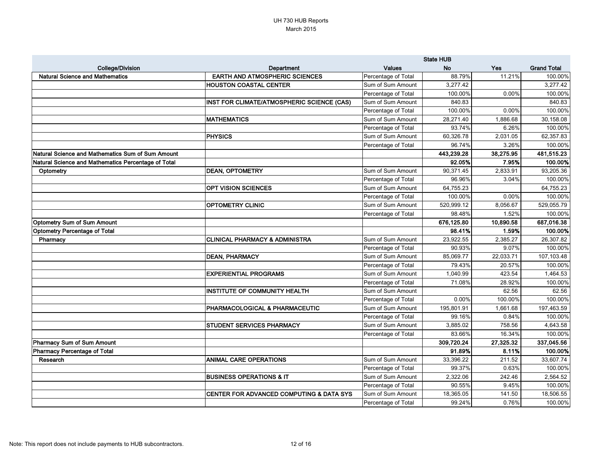|                                                     |                                                   |                     | <b>State HUB</b> |           |                    |
|-----------------------------------------------------|---------------------------------------------------|---------------------|------------------|-----------|--------------------|
| <b>College/Division</b>                             | <b>Department</b>                                 | <b>Values</b>       | <b>No</b>        | Yes       | <b>Grand Total</b> |
| <b>Natural Science and Mathematics</b>              | <b>EARTH AND ATMOSPHERIC SCIENCES</b>             | Percentage of Total | 88.79%           | 11.21%    | 100.00%            |
|                                                     | <b>HOUSTON COASTAL CENTER</b>                     | Sum of Sum Amount   | 3,277.42         |           | 3,277.42           |
|                                                     |                                                   | Percentage of Total | 100.00%          | 0.00%     | 100.00%            |
|                                                     | <b>INST FOR CLIMATE/ATMOSPHERIC SCIENCE (CAS)</b> | Sum of Sum Amount   | 840.83           |           | 840.83             |
|                                                     |                                                   | Percentage of Total | 100.00%          | 0.00%     | 100.00%            |
|                                                     | <b>MATHEMATICS</b>                                | Sum of Sum Amount   | 28,271.40        | 1,886.68  | 30,158.08          |
|                                                     |                                                   | Percentage of Total | 93.74%           | 6.26%     | 100.00%            |
|                                                     | <b>PHYSICS</b>                                    | Sum of Sum Amount   | 60,326.78        | 2,031.05  | 62,357.83          |
|                                                     |                                                   | Percentage of Total | 96.74%           | 3.26%     | 100.00%            |
| Natural Science and Mathematics Sum of Sum Amount   |                                                   |                     | 443,239.28       | 38,275.95 | 481,515.23         |
| Natural Science and Mathematics Percentage of Total |                                                   |                     | 92.05%           | 7.95%     | 100.00%            |
| Optometry                                           | <b>DEAN, OPTOMETRY</b>                            | Sum of Sum Amount   | 90,371.45        | 2,833.91  | 93,205.36          |
|                                                     |                                                   | Percentage of Total | 96.96%           | 3.04%     | 100.00%            |
|                                                     | <b>OPT VISION SCIENCES</b>                        | Sum of Sum Amount   | 64,755.23        |           | 64,755.23          |
|                                                     |                                                   | Percentage of Total | 100.00%          | 0.00%     | 100.00%            |
|                                                     | <b>OPTOMETRY CLINIC</b>                           | Sum of Sum Amount   | 520,999.12       | 8,056.67  | 529,055.79         |
|                                                     |                                                   | Percentage of Total | 98.48%           | 1.52%     | 100.00%            |
| Optometry Sum of Sum Amount                         |                                                   |                     | 676,125.80       | 10,890.58 | 687,016.38         |
| <b>Optometry Percentage of Total</b>                |                                                   |                     | 98.41%           | 1.59%     | 100.00%            |
| Pharmacy                                            | <b>CLINICAL PHARMACY &amp; ADMINISTRA</b>         | Sum of Sum Amount   | 23,922.55        | 2,385.27  | 26,307.82          |
|                                                     |                                                   | Percentage of Total | 90.93%           | 9.07%     | 100.00%            |
|                                                     | <b>DEAN, PHARMACY</b>                             | Sum of Sum Amount   | 85,069.77        | 22,033.71 | 107,103.48         |
|                                                     |                                                   | Percentage of Total | 79.43%           | 20.57%    | 100.00%            |
|                                                     | <b>EXPERIENTIAL PROGRAMS</b>                      | Sum of Sum Amount   | 1,040.99         | 423.54    | 1,464.53           |
|                                                     |                                                   | Percentage of Total | 71.08%           | 28.92%    | 100.00%            |
|                                                     | INSTITUTE OF COMMUNITY HEALTH                     | Sum of Sum Amount   |                  | 62.56     | 62.56              |
|                                                     |                                                   | Percentage of Total | 0.00%            | 100.00%   | 100.00%            |
|                                                     | <b>PHARMACOLOGICAL &amp; PHARMACEUTIC</b>         | Sum of Sum Amount   | 195,801.91       | 1,661.68  | 197,463.59         |
|                                                     |                                                   | Percentage of Total | 99.16%           | 0.84%     | 100.00%            |
|                                                     | <b>STUDENT SERVICES PHARMACY</b>                  | Sum of Sum Amount   | 3,885.02         | 758.56    | 4,643.58           |
|                                                     |                                                   | Percentage of Total | 83.66%           | 16.34%    | 100.00%            |
| Pharmacy Sum of Sum Amount                          |                                                   |                     | 309,720.24       | 27,325.32 | 337,045.56         |
| <b>Pharmacy Percentage of Total</b>                 |                                                   |                     | 91.89%           | 8.11%     | 100.00%            |
| Research                                            | <b>ANIMAL CARE OPERATIONS</b>                     | Sum of Sum Amount   | 33,396.22        | 211.52    | 33,607.74          |
|                                                     |                                                   | Percentage of Total | 99.37%           | 0.63%     | 100.00%            |
|                                                     | <b>BUSINESS OPERATIONS &amp; IT</b>               | Sum of Sum Amount   | 2,322.06         | 242.46    | 2,564.52           |
|                                                     |                                                   | Percentage of Total | 90.55%           | 9.45%     | 100.00%            |
|                                                     | CENTER FOR ADVANCED COMPUTING & DATA SYS          | Sum of Sum Amount   | 18,365.05        | 141.50    | 18,506.55          |
|                                                     |                                                   | Percentage of Total | 99.24%           | 0.76%     | 100.00%            |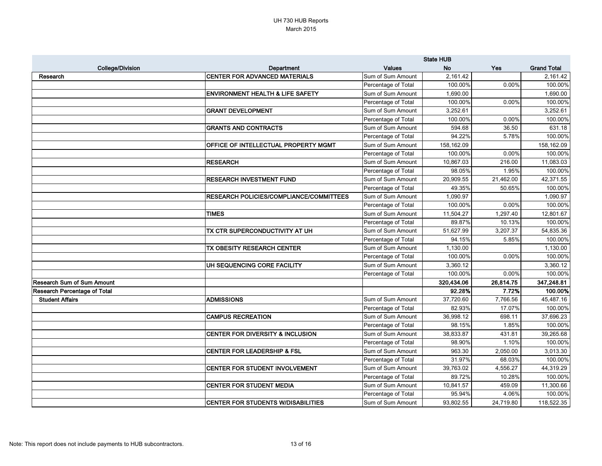|                                     |                                             | <b>State HUB</b>    |            |            |                    |
|-------------------------------------|---------------------------------------------|---------------------|------------|------------|--------------------|
| <b>College/Division</b>             | Department                                  | <b>Values</b>       | <b>No</b>  | <b>Yes</b> | <b>Grand Total</b> |
| Research                            | <b>CENTER FOR ADVANCED MATERIALS</b>        | Sum of Sum Amount   | 2,161.42   |            | 2,161.42           |
|                                     |                                             | Percentage of Total | 100.00%    | 0.00%      | 100.00%            |
|                                     | <b>ENVIRONMENT HEALTH &amp; LIFE SAFETY</b> | Sum of Sum Amount   | 1,690.00   |            | 1,690.00           |
|                                     |                                             | Percentage of Total | 100.00%    | 0.00%      | 100.00%            |
|                                     | <b>GRANT DEVELOPMENT</b>                    | Sum of Sum Amount   | 3,252.61   |            | 3,252.61           |
|                                     |                                             | Percentage of Total | 100.00%    | 0.00%      | 100.00%            |
|                                     | <b>GRANTS AND CONTRACTS</b>                 | Sum of Sum Amount   | 594.68     | 36.50      | 631.18             |
|                                     |                                             | Percentage of Total | 94.22%     | 5.78%      | 100.00%            |
|                                     | OFFICE OF INTELLECTUAL PROPERTY MGMT        | Sum of Sum Amount   | 158,162.09 |            | 158,162.09         |
|                                     |                                             | Percentage of Total | 100.00%    | 0.00%      | 100.00%            |
|                                     | <b>RESEARCH</b>                             | Sum of Sum Amount   | 10,867.03  | 216.00     | 11,083.03          |
|                                     |                                             | Percentage of Total | 98.05%     | 1.95%      | 100.00%            |
|                                     | <b>RESEARCH INVESTMENT FUND</b>             | Sum of Sum Amount   | 20,909.55  | 21,462.00  | 42,371.55          |
|                                     |                                             | Percentage of Total | 49.35%     | 50.65%     | 100.00%            |
|                                     | RESEARCH POLICIES/COMPLIANCE/COMMITTEES     | Sum of Sum Amount   | 1,090.97   |            | 1,090.97           |
|                                     |                                             | Percentage of Total | 100.00%    | 0.00%      | 100.00%            |
|                                     | <b>TIMES</b>                                | Sum of Sum Amount   | 11,504.27  | 1,297.40   | 12,801.67          |
|                                     |                                             | Percentage of Total | 89.87%     | 10.13%     | 100.00%            |
|                                     | TX CTR SUPERCONDUCTIVITY AT UH              | Sum of Sum Amount   | 51,627.99  | 3,207.37   | 54,835.36          |
|                                     |                                             | Percentage of Total | 94.15%     | 5.85%      | 100.00%            |
|                                     | TX OBESITY RESEARCH CENTER                  | Sum of Sum Amount   | 1,130.00   |            | 1,130.00           |
|                                     |                                             | Percentage of Total | 100.00%    | 0.00%      | 100.00%            |
|                                     | UH SEQUENCING CORE FACILITY                 | Sum of Sum Amount   | 3,360.12   |            | 3,360.12           |
|                                     |                                             | Percentage of Total | 100.00%    | 0.00%      | 100.00%            |
| <b>Research Sum of Sum Amount</b>   |                                             |                     | 320,434.06 | 26,814.75  | 347,248.81         |
| <b>Research Percentage of Total</b> |                                             |                     | 92.28%     | 7.72%      | 100.00%            |
| <b>Student Affairs</b>              | <b>ADMISSIONS</b>                           | Sum of Sum Amount   | 37,720.60  | 7,766.56   | 45,487.16          |
|                                     |                                             | Percentage of Total | 82.93%     | 17.07%     | 100.00%            |
|                                     | <b>CAMPUS RECREATION</b>                    | Sum of Sum Amount   | 36,998.12  | 698.11     | 37,696.23          |
|                                     |                                             | Percentage of Total | 98.15%     | 1.85%      | 100.00%            |
|                                     | <b>CENTER FOR DIVERSITY &amp; INCLUSION</b> | Sum of Sum Amount   | 38,833.87  | 431.81     | 39,265.68          |
|                                     |                                             | Percentage of Total | 98.90%     | 1.10%      | 100.00%            |
|                                     | <b>CENTER FOR LEADERSHIP &amp; FSL</b>      | Sum of Sum Amount   | 963.30     | 2,050.00   | 3,013.30           |
|                                     |                                             | Percentage of Total | 31.97%     | 68.03%     | 100.00%            |
|                                     | CENTER FOR STUDENT INVOLVEMENT              | Sum of Sum Amount   | 39,763.02  | 4,556.27   | 44,319.29          |
|                                     |                                             | Percentage of Total | 89.72%     | 10.28%     | 100.00%            |
|                                     | CENTER FOR STUDENT MEDIA                    | Sum of Sum Amount   | 10,841.57  | 459.09     | 11,300.66          |
|                                     |                                             | Percentage of Total | 95.94%     | 4.06%      | 100.00%            |
|                                     | <b>CENTER FOR STUDENTS W/DISABILITIES</b>   | Sum of Sum Amount   | 93,802.55  | 24,719.80  | 118,522.35         |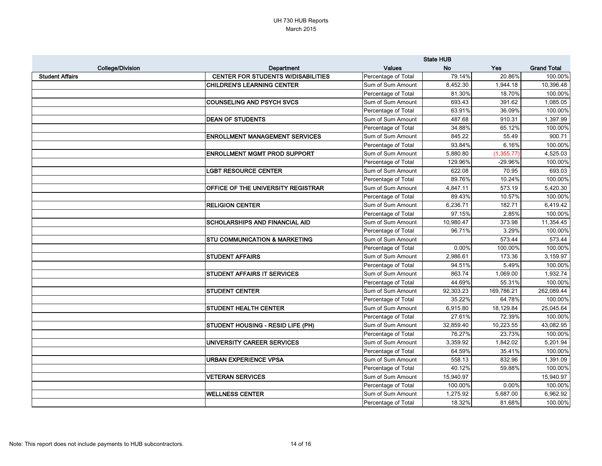|                         |                                           | <b>State HUB</b>    |           |             |                    |
|-------------------------|-------------------------------------------|---------------------|-----------|-------------|--------------------|
| <b>College/Division</b> | <b>Department</b>                         | <b>Values</b>       | <b>No</b> | <b>Yes</b>  | <b>Grand Total</b> |
| <b>Student Affairs</b>  | <b>CENTER FOR STUDENTS W/DISABILITIES</b> | Percentage of Total | 79.14%    | 20.86%      | 100.00%            |
|                         | <b>CHILDREN'S LEARNING CENTER</b>         | Sum of Sum Amount   | 8,452.30  | 1,944.18    | 10,396.48          |
|                         |                                           | Percentage of Total | 81.30%    | 18.70%      | 100.00%            |
|                         | <b>COUNSELING AND PSYCH SVCS</b>          | Sum of Sum Amount   | 693.43    | 391.62      | 1,085.05           |
|                         |                                           | Percentage of Total | 63.91%    | 36.09%      | 100.00%            |
|                         | <b>DEAN OF STUDENTS</b>                   | Sum of Sum Amount   | 487.68    | 910.31      | 1,397.99           |
|                         |                                           | Percentage of Total | 34.88%    | 65.12%      | 100.00%            |
|                         | <b>ENROLLMENT MANAGEMENT SERVICES</b>     | Sum of Sum Amount   | 845.22    | 55.49       | 900.71             |
|                         |                                           | Percentage of Total | 93.84%    | 6.16%       | 100.00%            |
|                         | <b>ENROLLMENT MGMT PROD SUPPORT</b>       | Sum of Sum Amount   | 5,880.80  | (1, 355.77) | 4,525.03           |
|                         |                                           | Percentage of Total | 129.96%   | -29.96%     | 100.00%            |
|                         | <b>LGBT RESOURCE CENTER</b>               | Sum of Sum Amount   | 622.08    | 70.95       | 693.03             |
|                         |                                           | Percentage of Total | 89.76%    | 10.24%      | 100.00%            |
|                         | <b>OFFICE OF THE UNIVERSITY REGISTRAR</b> | Sum of Sum Amount   | 4,847.11  | 573.19      | 5,420.30           |
|                         |                                           | Percentage of Total | 89.43%    | 10.57%      | 100.00%            |
|                         | <b>RELIGION CENTER</b>                    | Sum of Sum Amount   | 6,236.71  | 182.71      | 6,419.42           |
|                         |                                           | Percentage of Total | 97.15%    | 2.85%       | 100.00%            |
|                         | <b>SCHOLARSHIPS AND FINANCIAL AID</b>     | Sum of Sum Amount   | 10,980.47 | 373.98      | 11,354.45          |
|                         |                                           | Percentage of Total | 96.71%    | 3.29%       | 100.00%            |
|                         | <b>STU COMMUNICATION &amp; MARKETING</b>  | Sum of Sum Amount   |           | 573.44      | 573.44             |
|                         |                                           | Percentage of Total | 0.00%     | 100.00%     | 100.00%            |
|                         | <b>STUDENT AFFAIRS</b>                    | Sum of Sum Amount   | 2,986.61  | 173.36      | 3,159.97           |
|                         |                                           | Percentage of Total | 94.51%    | 5.49%       | 100.00%            |
|                         | <b>STUDENT AFFAIRS IT SERVICES</b>        | Sum of Sum Amount   | 863.74    | 1,069.00    | 1,932.74           |
|                         |                                           | Percentage of Total | 44.69%    | 55.31%      | 100.00%            |
|                         | <b>STUDENT CENTER</b>                     | Sum of Sum Amount   | 92,303.23 | 169,786.21  | 262,089.44         |
|                         |                                           | Percentage of Total | 35.22%    | 64.78%      | 100.00%            |
|                         | <b>STUDENT HEALTH CENTER</b>              | Sum of Sum Amount   | 6,915.80  | 18,129.84   | 25,045.64          |
|                         |                                           | Percentage of Total | 27.61%    | 72.39%      | 100.00%            |
|                         | STUDENT HOUSING - RESID LIFE (PH)         | Sum of Sum Amount   | 32,859.40 | 10,223.55   | 43,082.95          |
|                         |                                           | Percentage of Total | 76.27%    | 23.73%      | 100.00%            |
|                         | UNIVERSITY CAREER SERVICES                | Sum of Sum Amount   | 3,359.92  | 1,842.02    | 5,201.94           |
|                         |                                           | Percentage of Total | 64.59%    | 35.41%      | 100.00%            |
|                         | <b>URBAN EXPERIENCE VPSA</b>              | Sum of Sum Amount   | 558.13    | 832.96      | 1,391.09           |
|                         |                                           | Percentage of Total | 40.12%    | 59.88%      | 100.00%            |
|                         | <b>VETERAN SERVICES</b>                   | Sum of Sum Amount   | 15,940.97 |             | 15,940.97          |
|                         |                                           | Percentage of Total | 100.00%   | 0.00%       | 100.00%            |
|                         | <b>WELLNESS CENTER</b>                    | Sum of Sum Amount   | 1,275.92  | 5,687.00    | 6,962.92           |
|                         |                                           | Percentage of Total | 18.32%    | 81.68%      | 100.00%            |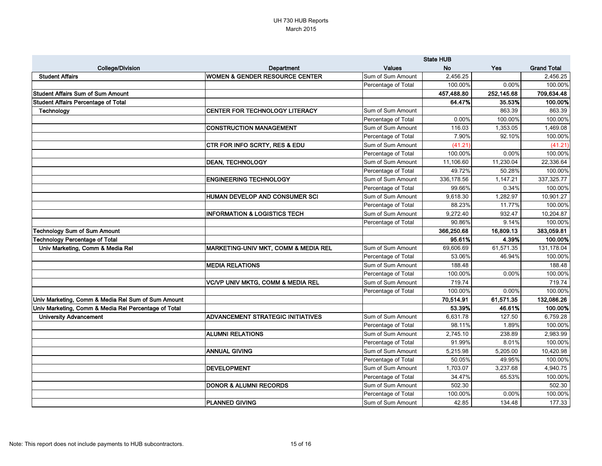|                                                      |                                              | <b>State HUB</b>    |            |            |                    |
|------------------------------------------------------|----------------------------------------------|---------------------|------------|------------|--------------------|
| <b>College/Division</b>                              | Department                                   | <b>Values</b>       | <b>No</b>  | <b>Yes</b> | <b>Grand Total</b> |
| <b>Student Affairs</b>                               | <b>WOMEN &amp; GENDER RESOURCE CENTER</b>    | Sum of Sum Amount   | 2,456.25   |            | 2,456.25           |
|                                                      |                                              | Percentage of Total | 100.00%    | 0.00%      | 100.00%            |
| <b>Student Affairs Sum of Sum Amount</b>             |                                              |                     | 457,488.80 | 252,145.68 | 709,634.48         |
| <b>Student Affairs Percentage of Total</b>           |                                              |                     | 64.47%     | 35.53%     | 100.00%            |
| Technology                                           | <b>CENTER FOR TECHNOLOGY LITERACY</b>        | Sum of Sum Amount   |            | 863.39     | 863.39             |
|                                                      |                                              | Percentage of Total | 0.00%      | 100.00%    | 100.00%            |
|                                                      | <b>CONSTRUCTION MANAGEMENT</b>               | Sum of Sum Amount   | 116.03     | 1,353.05   | 1,469.08           |
|                                                      |                                              | Percentage of Total | 7.90%      | 92.10%     | 100.00%            |
|                                                      | CTR FOR INFO SCRTY, RES & EDU                | Sum of Sum Amount   | (41.21)    |            | (41.21)            |
|                                                      |                                              | Percentage of Total | 100.00%    | 0.00%      | 100.00%            |
|                                                      | <b>DEAN, TECHNOLOGY</b>                      | Sum of Sum Amount   | 11,106.60  | 11,230.04  | 22,336.64          |
|                                                      |                                              | Percentage of Total | 49.72%     | 50.28%     | 100.00%            |
|                                                      | <b>ENGINEERING TECHNOLOGY</b>                | Sum of Sum Amount   | 336,178.56 | 1,147.21   | 337,325.77         |
|                                                      |                                              | Percentage of Total | 99.66%     | 0.34%      | 100.00%            |
|                                                      | <b>HUMAN DEVELOP AND CONSUMER SCI</b>        | Sum of Sum Amount   | 9,618.30   | 1,282.97   | 10,901.27          |
|                                                      |                                              | Percentage of Total | 88.23%     | 11.77%     | 100.00%            |
|                                                      | <b>INFORMATION &amp; LOGISTICS TECH</b>      | Sum of Sum Amount   | 9,272.40   | 932.47     | 10,204.87          |
|                                                      |                                              | Percentage of Total | 90.86%     | 9.14%      | 100.00%            |
| <b>Technology Sum of Sum Amount</b>                  |                                              |                     | 366,250.68 | 16,809.13  | 383,059.81         |
| <b>Technology Percentage of Total</b>                |                                              |                     | 95.61%     | 4.39%      | 100.00%            |
| Univ Marketing, Comm & Media Rel                     | MARKETING-UNIV MKT, COMM & MEDIA REL         | Sum of Sum Amount   | 69,606.69  | 61,571.35  | 131,178.04         |
|                                                      |                                              | Percentage of Total | 53.06%     | 46.94%     | 100.00%            |
|                                                      | <b>MEDIA RELATIONS</b>                       | Sum of Sum Amount   | 188.48     |            | 188.48             |
|                                                      |                                              | Percentage of Total | 100.00%    | 0.00%      | 100.00%            |
|                                                      | <b>VC/VP UNIV MKTG, COMM &amp; MEDIA REL</b> | Sum of Sum Amount   | 719.74     |            | 719.74             |
|                                                      |                                              | Percentage of Total | 100.00%    | 0.00%      | 100.00%            |
| Univ Marketing, Comm & Media Rel Sum of Sum Amount   |                                              |                     | 70,514.91  | 61,571.35  | 132,086.26         |
| Univ Marketing, Comm & Media Rel Percentage of Total |                                              |                     | 53.39%     | 46.61%     | 100.00%            |
| <b>University Advancement</b>                        | <b>ADVANCEMENT STRATEGIC INITIATIVES</b>     | Sum of Sum Amount   | 6,631.78   | 127.50     | 6,759.28           |
|                                                      |                                              | Percentage of Total | 98.11%     | 1.89%      | 100.00%            |
|                                                      | <b>ALUMNI RELATIONS</b>                      | Sum of Sum Amount   | 2,745.10   | 238.89     | 2,983.99           |
|                                                      |                                              | Percentage of Total | 91.99%     | 8.01%      | 100.00%            |
|                                                      | <b>ANNUAL GIVING</b>                         | Sum of Sum Amount   | 5,215.98   | 5,205.00   | 10,420.98          |
|                                                      |                                              | Percentage of Total | 50.05%     | 49.95%     | 100.00%            |
|                                                      | <b>DEVELOPMENT</b>                           | Sum of Sum Amount   | 1,703.07   | 3,237.68   | 4,940.75           |
|                                                      |                                              | Percentage of Total | 34.47%     | 65.53%     | 100.00%            |
|                                                      | <b>DONOR &amp; ALUMNI RECORDS</b>            | Sum of Sum Amount   | 502.30     |            | 502.30             |
|                                                      |                                              | Percentage of Total | 100.00%    | 0.00%      | 100.00%            |
|                                                      | <b>PLANNED GIVING</b>                        | Sum of Sum Amount   | 42.85      | 134.48     | 177.33             |